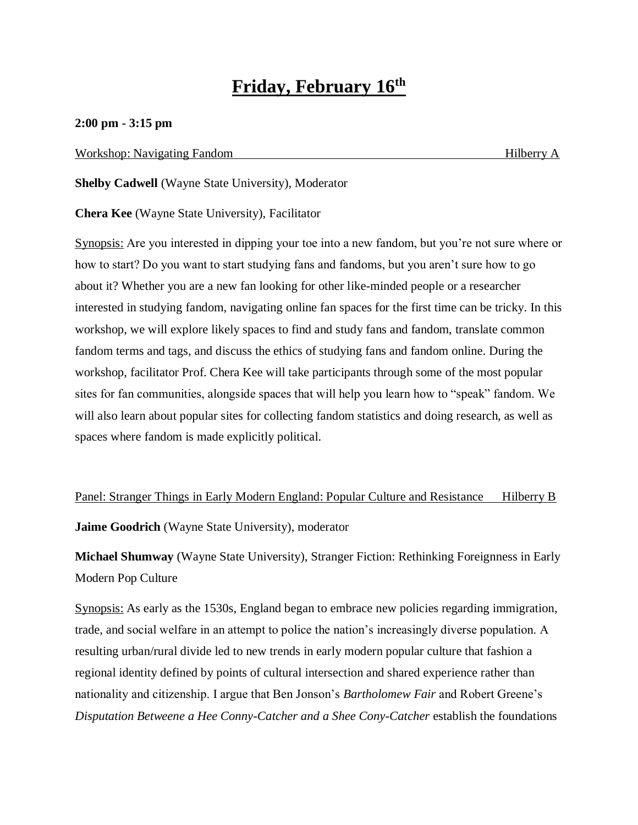# **Friday, February 16th**

### **2:00 pm - 3:15 pm**

#### Workshop: Navigating Fandom **Hilberry A** Hilberry A

**Shelby Cadwell** (Wayne State University), Moderator

**Chera Kee** (Wayne State University), Facilitator

Synopsis: Are you interested in dipping your toe into a new fandom, but you're not sure where or how to start? Do you want to start studying fans and fandoms, but you aren't sure how to go about it? Whether you are a new fan looking for other like-minded people or a researcher interested in studying fandom, navigating online fan spaces for the first time can be tricky. In this workshop, we will explore likely spaces to find and study fans and fandom, translate common fandom terms and tags, and discuss the ethics of studying fans and fandom online. During the workshop, facilitator Prof. Chera Kee will take participants through some of the most popular sites for fan communities, alongside spaces that will help you learn how to "speak" fandom. We will also learn about popular sites for collecting fandom statistics and doing research, as well as spaces where fandom is made explicitly political.

Panel: Stranger Things in Early Modern England: Popular Culture and Resistance Hilberry B

**Jaime Goodrich** (Wayne State University), moderator

**Michael Shumway** (Wayne State University), Stranger Fiction: Rethinking Foreignness in Early Modern Pop Culture

Synopsis: As early as the 1530s, England began to embrace new policies regarding immigration, trade, and social welfare in an attempt to police the nation's increasingly diverse population. A resulting urban/rural divide led to new trends in early modern popular culture that fashion a regional identity defined by points of cultural intersection and shared experience rather than nationality and citizenship. I argue that Ben Jonson's *Bartholomew Fair* and Robert Greene's *Disputation Betweene a Hee Conny-Catcher and a Shee Cony-Catcher* establish the foundations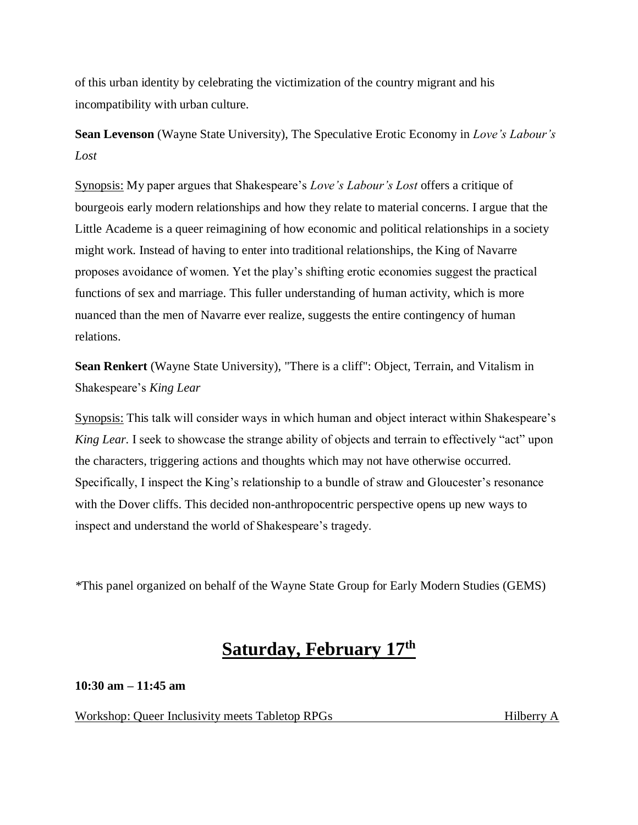of this urban identity by celebrating the victimization of the country migrant and his incompatibility with urban culture.

**Sean Levenson** (Wayne State University), The Speculative Erotic Economy in *Love's Labour's Lost*

Synopsis: My paper argues that Shakespeare's *Love's Labour's Lost* offers a critique of bourgeois early modern relationships and how they relate to material concerns. I argue that the Little Academe is a queer reimagining of how economic and political relationships in a society might work. Instead of having to enter into traditional relationships, the King of Navarre proposes avoidance of women. Yet the play's shifting erotic economies suggest the practical functions of sex and marriage. This fuller understanding of human activity, which is more nuanced than the men of Navarre ever realize, suggests the entire contingency of human relations.

**Sean Renkert** (Wayne State University), "There is a cliff": Object, Terrain, and Vitalism in Shakespeare's *King Lear*

Synopsis: This talk will consider ways in which human and object interact within Shakespeare's *King Lear.* I seek to showcase the strange ability of objects and terrain to effectively "act" upon the characters, triggering actions and thoughts which may not have otherwise occurred. Specifically, I inspect the King's relationship to a bundle of straw and Gloucester's resonance with the Dover cliffs. This decided non-anthropocentric perspective opens up new ways to inspect and understand the world of Shakespeare's tragedy.

*\**This panel organized on behalf of the Wayne State Group for Early Modern Studies (GEMS)

# **Saturday, February 17th**

**10:30 am – 11:45 am**

Workshop: Queer Inclusivity meets Tabletop RPGs Hilberry A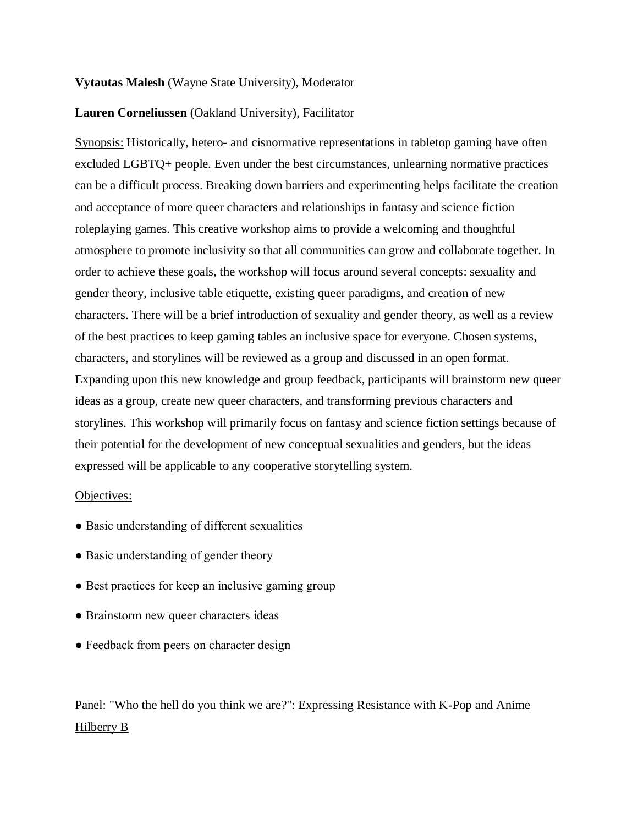### **Vytautas Malesh** (Wayne State University), Moderator

### **Lauren Corneliussen** (Oakland University), Facilitator

Synopsis: Historically, hetero- and cisnormative representations in tabletop gaming have often excluded LGBTQ+ people. Even under the best circumstances, unlearning normative practices can be a difficult process. Breaking down barriers and experimenting helps facilitate the creation and acceptance of more queer characters and relationships in fantasy and science fiction roleplaying games. This creative workshop aims to provide a welcoming and thoughtful atmosphere to promote inclusivity so that all communities can grow and collaborate together. In order to achieve these goals, the workshop will focus around several concepts: sexuality and gender theory, inclusive table etiquette, existing queer paradigms, and creation of new characters. There will be a brief introduction of sexuality and gender theory, as well as a review of the best practices to keep gaming tables an inclusive space for everyone. Chosen systems, characters, and storylines will be reviewed as a group and discussed in an open format. Expanding upon this new knowledge and group feedback, participants will brainstorm new queer ideas as a group, create new queer characters, and transforming previous characters and storylines. This workshop will primarily focus on fantasy and science fiction settings because of their potential for the development of new conceptual sexualities and genders, but the ideas expressed will be applicable to any cooperative storytelling system.

#### Objectives:

- Basic understanding of different sexualities
- Basic understanding of gender theory
- Best practices for keep an inclusive gaming group
- Brainstorm new queer characters ideas
- Feedback from peers on character design

Panel: "Who the hell do you think we are?": Expressing Resistance with K-Pop and Anime Hilberry B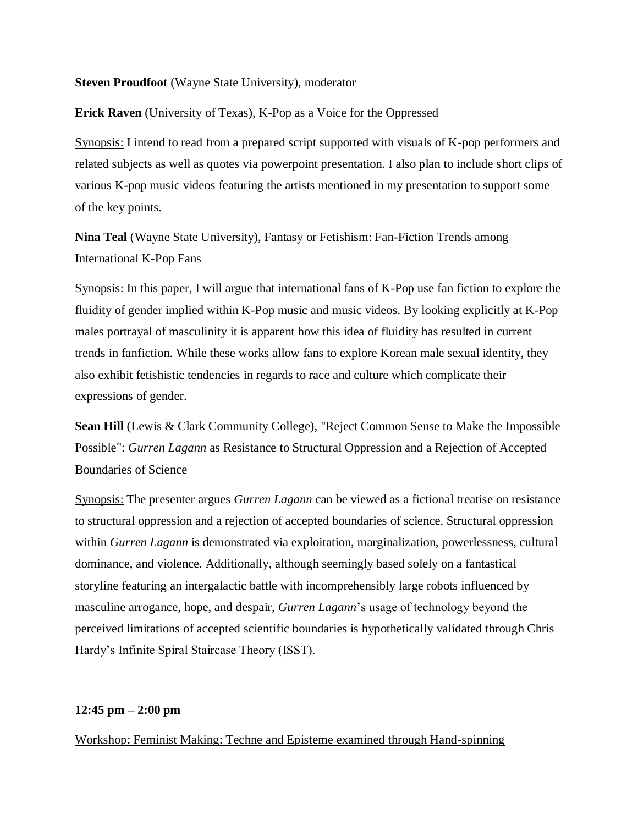### **Steven Proudfoot** (Wayne State University), moderator

**Erick Raven** (University of Texas), K-Pop as a Voice for the Oppressed

Synopsis: I intend to read from a prepared script supported with visuals of K-pop performers and related subjects as well as quotes via powerpoint presentation. I also plan to include short clips of various K-pop music videos featuring the artists mentioned in my presentation to support some of the key points.

**Nina Teal** (Wayne State University), Fantasy or Fetishism: Fan-Fiction Trends among International K-Pop Fans

Synopsis: In this paper, I will argue that international fans of K-Pop use fan fiction to explore the fluidity of gender implied within K-Pop music and music videos. By looking explicitly at K-Pop males portrayal of masculinity it is apparent how this idea of fluidity has resulted in current trends in fanfiction. While these works allow fans to explore Korean male sexual identity, they also exhibit fetishistic tendencies in regards to race and culture which complicate their expressions of gender.

**Sean Hill** (Lewis & Clark Community College), "Reject Common Sense to Make the Impossible Possible": *Gurren Lagann* as Resistance to Structural Oppression and a Rejection of Accepted Boundaries of Science

Synopsis: The presenter argues *Gurren Lagann* can be viewed as a fictional treatise on resistance to structural oppression and a rejection of accepted boundaries of science. Structural oppression within *Gurren Lagann* is demonstrated via exploitation, marginalization, powerlessness, cultural dominance, and violence. Additionally, although seemingly based solely on a fantastical storyline featuring an intergalactic battle with incomprehensibly large robots influenced by masculine arrogance, hope, and despair, *Gurren Lagann*'s usage of technology beyond the perceived limitations of accepted scientific boundaries is hypothetically validated through Chris Hardy's Infinite Spiral Staircase Theory (ISST).

## **12:45 pm – 2:00 pm**

Workshop: Feminist Making: Techne and Episteme examined through Hand-spinning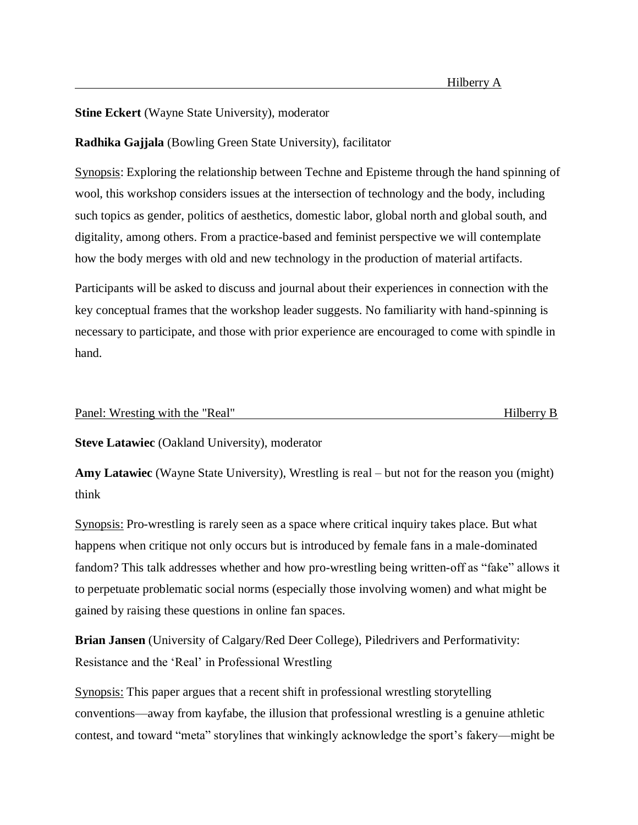**Stine Eckert** (Wayne State University), moderator

# **Radhika Gajjala** (Bowling Green State University), facilitator

Synopsis: Exploring the relationship between Techne and Episteme through the hand spinning of wool, this workshop considers issues at the intersection of technology and the body, including such topics as gender, politics of aesthetics, domestic labor, global north and global south, and digitality, among others. From a practice-based and feminist perspective we will contemplate how the body merges with old and new technology in the production of material artifacts.

Participants will be asked to discuss and journal about their experiences in connection with the key conceptual frames that the workshop leader suggests. No familiarity with hand-spinning is necessary to participate, and those with prior experience are encouraged to come with spindle in hand.

#### Panel: Wresting with the "Real" example of the state of the Hilberry B

**Steve Latawiec** (Oakland University), moderator

**Amy Latawiec** (Wayne State University), Wrestling is real – but not for the reason you (might) think

Synopsis: Pro-wrestling is rarely seen as a space where critical inquiry takes place. But what happens when critique not only occurs but is introduced by female fans in a male-dominated fandom? This talk addresses whether and how pro-wrestling being written-off as "fake" allows it to perpetuate problematic social norms (especially those involving women) and what might be gained by raising these questions in online fan spaces.

**Brian Jansen** (University of Calgary/Red Deer College), Piledrivers and Performativity: Resistance and the 'Real' in Professional Wrestling

Synopsis: This paper argues that a recent shift in professional wrestling storytelling conventions—away from kayfabe, the illusion that professional wrestling is a genuine athletic contest, and toward "meta" storylines that winkingly acknowledge the sport's fakery—might be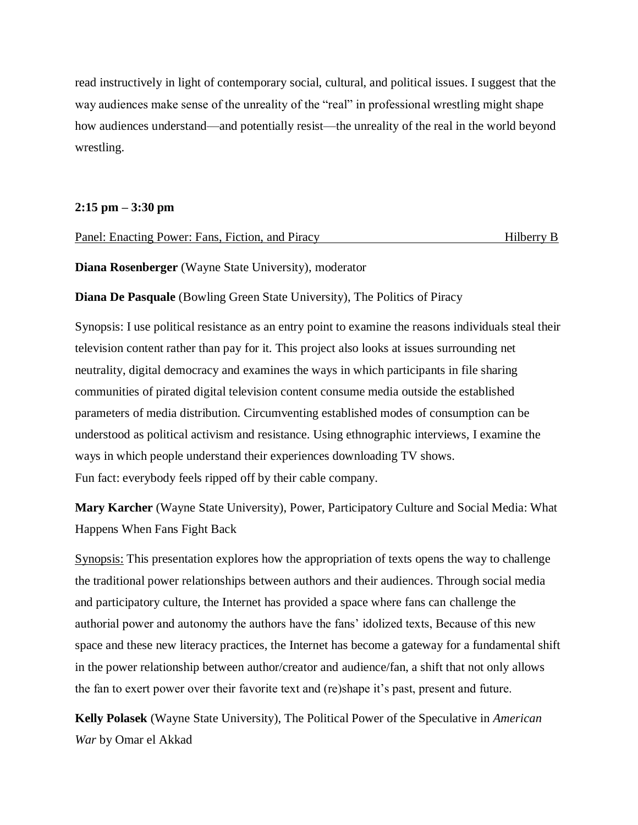read instructively in light of contemporary social, cultural, and political issues. I suggest that the way audiences make sense of the unreality of the "real" in professional wrestling might shape how audiences understand—and potentially resist—the unreality of the real in the world beyond wrestling.

### **2:15 pm – 3:30 pm**

| Panel: Enacting Power: Fans, Fiction, and Piracy | Hilberry B |  |
|--------------------------------------------------|------------|--|
|                                                  |            |  |

**Diana Rosenberger** (Wayne State University), moderator

**Diana De Pasquale** (Bowling Green State University), The Politics of Piracy

Synopsis: I use political resistance as an entry point to examine the reasons individuals steal their television content rather than pay for it. This project also looks at issues surrounding net neutrality, digital democracy and examines the ways in which participants in file sharing communities of pirated digital television content consume media outside the established parameters of media distribution. Circumventing established modes of consumption can be understood as political activism and resistance. Using ethnographic interviews, I examine the ways in which people understand their experiences downloading TV shows. Fun fact: everybody feels ripped off by their cable company.

**Mary Karcher** (Wayne State University), Power, Participatory Culture and Social Media: What Happens When Fans Fight Back

Synopsis: This presentation explores how the appropriation of texts opens the way to challenge the traditional power relationships between authors and their audiences. Through social media and participatory culture, the Internet has provided a space where fans can challenge the authorial power and autonomy the authors have the fans' idolized texts, Because of this new space and these new literacy practices, the Internet has become a gateway for a fundamental shift in the power relationship between author/creator and audience/fan, a shift that not only allows the fan to exert power over their favorite text and (re)shape it's past, present and future.

**Kelly Polasek** (Wayne State University), The Political Power of the Speculative in *American War* by Omar el Akkad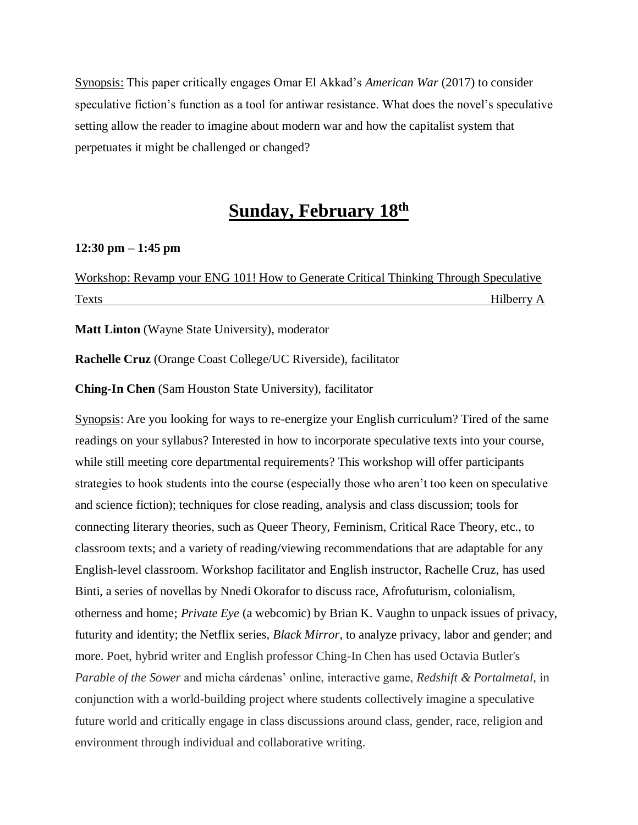Synopsis: This paper critically engages Omar El Akkad's *American War* (2017) to consider speculative fiction's function as a tool for antiwar resistance. What does the novel's speculative setting allow the reader to imagine about modern war and how the capitalist system that perpetuates it might be challenged or changed?

# **Sunday, February 18th**

#### **12:30 pm – 1:45 pm**

Workshop: Revamp your ENG 101! How to Generate Critical Thinking Through Speculative Texts Hilberry A

**Matt Linton** (Wayne State University), moderator

**Rachelle Cruz** (Orange Coast College/UC Riverside), facilitator

**Ching-In Chen** (Sam Houston State University), facilitator

Synopsis: Are you looking for ways to re-energize your English curriculum? Tired of the same readings on your syllabus? Interested in how to incorporate speculative texts into your course, while still meeting core departmental requirements? This workshop will offer participants strategies to hook students into the course (especially those who aren't too keen on speculative and science fiction); techniques for close reading, analysis and class discussion; tools for connecting literary theories, such as Queer Theory, Feminism, Critical Race Theory, etc., to classroom texts; and a variety of reading/viewing recommendations that are adaptable for any English-level classroom. Workshop facilitator and English instructor, Rachelle Cruz, has used Binti, a series of novellas by Nnedi Okorafor to discuss race, Afrofuturism, colonialism, otherness and home; *Private Eye* (a webcomic) by Brian K. Vaughn to unpack issues of privacy, futurity and identity; the Netflix series, *Black Mirror*, to analyze privacy, labor and gender; and more. Poet, hybrid writer and English professor Ching-In Chen has used Octavia Butler's *Parable of the Sower* and micha cárdenas' online, interactive game, *Redshift & Portalmetal,* in conjunction with a world-building project where students collectively imagine a speculative future world and critically engage in class discussions around class, gender, race, religion and environment through individual and collaborative writing.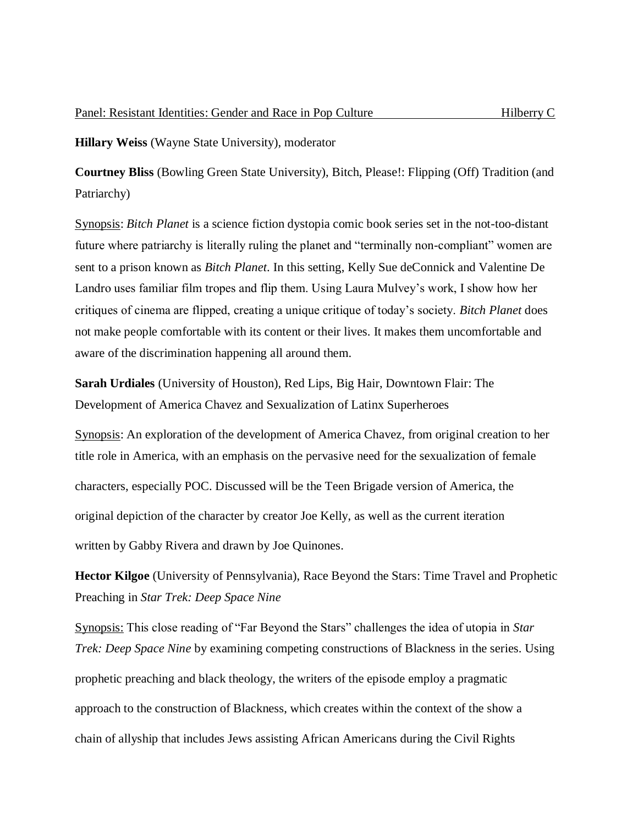**Hillary Weiss** (Wayne State University), moderator

**Courtney Bliss** (Bowling Green State University), Bitch, Please!: Flipping (Off) Tradition (and Patriarchy)

Synopsis: *Bitch Planet* is a science fiction dystopia comic book series set in the not-too-distant future where patriarchy is literally ruling the planet and "terminally non-compliant" women are sent to a prison known as *Bitch Planet*. In this setting, Kelly Sue deConnick and Valentine De Landro uses familiar film tropes and flip them. Using Laura Mulvey's work, I show how her critiques of cinema are flipped, creating a unique critique of today's society. *Bitch Planet* does not make people comfortable with its content or their lives. It makes them uncomfortable and aware of the discrimination happening all around them.

**Sarah Urdiales** (University of Houston), Red Lips, Big Hair, Downtown Flair: The Development of America Chavez and Sexualization of Latinx Superheroes

Synopsis: An exploration of the development of America Chavez, from original creation to her title role in America, with an emphasis on the pervasive need for the sexualization of female characters, especially POC. Discussed will be the Teen Brigade version of America, the original depiction of the character by creator Joe Kelly, as well as the current iteration written by Gabby Rivera and drawn by Joe Quinones.

**Hector Kilgoe** (University of Pennsylvania), Race Beyond the Stars: Time Travel and Prophetic Preaching in *Star Trek: Deep Space Nine*

Synopsis: This close reading of "Far Beyond the Stars" challenges the idea of utopia in *Star Trek: Deep Space Nine* by examining competing constructions of Blackness in the series. Using prophetic preaching and black theology, the writers of the episode employ a pragmatic approach to the construction of Blackness, which creates within the context of the show a chain of allyship that includes Jews assisting African Americans during the Civil Rights